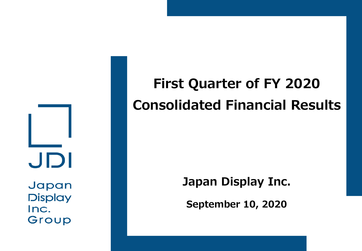JDI Japan

**Display** Inc. Group

# **First Quarter of FY 2020 Consolidated Financial Results**

### **Japan Display Inc.**

**September 10, 2020**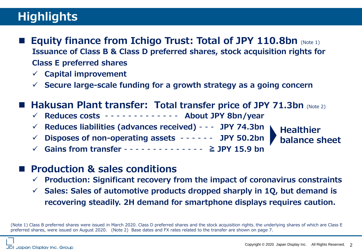## **Highlights**

- **Equity finance from Ichigo Trust: Total of JPY 110.8bn** (Note 1) **Issuance of Class B & Class D preferred shares, stock acquisition rights for Class E preferred shares**
	- ✓ **Capital improvement**
	- ✓ **Secure large-scale funding for a growth strategy as a going concern**

#### ■ Hakusan Plant transfer: Total transfer price of JPY 71.3bn (Note 2)

- ✓ **Reduces costs**  - - - - - - **About JPY 8bn/year**
- ✓ **Reduces liabilities (advances received)**  - **JPY 74.3bn**
- ✓ **Disposes of non-operating assets**  - - - **JPY 50.2bn**
- ✓ **Gains from transfer**  - - - - - - - **≧ JPY 15.9 bn**



#### ■ Production & sales conditions

- ✓ **Production: Significant recovery from the impact of coronavirus constraints**
- ✓ **Sales: Sales of automotive products dropped sharply in 1Q, but demand is recovering steadily. 2H demand for smartphone displays requires caution.**

<sup>(</sup>Note 1) Class B preferred shares were issued in March 2020. Class D preferred shares and the stock acquisition rights, the underlying shares of which are Class E preferred shares, were issued on August 2020. (Note 2) Base dates and FX rates related to the transfer are shown on page 7.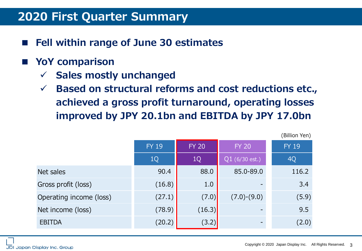#### **2020 First Quarter Summary**

**Fell within range of June 30 estimates** 

#### **■ YoY comparison**

- ✓ **Sales mostly unchanged**
- ✓ **Based on structural reforms and cost reductions etc., achieved a gross profit turnaround, operating losses improved by JPY 20.1bn and EBITDA by JPY 17.0bn**

|                         | <b>FY 19</b> | <b>FY 20</b> | <b>FY 20</b>     | <b>FY 19</b> |
|-------------------------|--------------|--------------|------------------|--------------|
|                         | 1Q           | 1Q           | $Q1$ (6/30 est.) | 4Q           |
| Net sales               | 90.4         | 88.0         | 85.0-89.0        | 116.2        |
| Gross profit (loss)     | (16.8)       | 1.0          |                  | 3.4          |
| Operating income (loss) | (27.1)       | (7.0)        | $(7.0)-(9.0)$    | (5.9)        |
| Net income (loss)       | (78.9)       | (16.3)       |                  | 9.5          |
| <b>EBITDA</b>           | (20.2)       | (3.2)        |                  | (2.0)        |

(Billion Yen)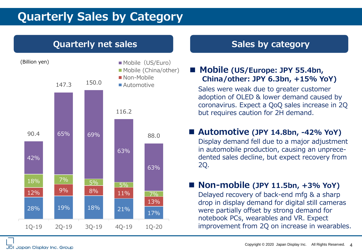### **Quarterly Sales by Category**

#### **Quarterly net sales Sales by category Sales by category**



#### **■ Mobile (US/Europe: JPY 55.4bn, China/other: JPY 6.3bn, +15% YoY)**

Sales were weak due to greater customer adoption of OLED & lower demand caused by coronavirus. Expect a QoQ sales increase in 2Q but requires caution for 2H demand.

#### ■ Automotive (JPY 14.8bn, -42% YoY)

Display demand fell due to a major adjustment in automobile production, causing an unprecedented sales decline, but expect recovery from 2Q.

#### ■ Non-mobile (JPY 11.5bn, +3% YoY)

Delayed recovery of back-end mfg & a sharp drop in display demand for digital still cameras were partially offset by strong demand for notebook PCs, wearables and VR. Expect improvement from 2Q on increase in wearables.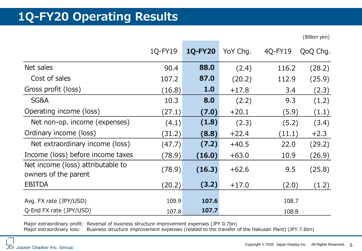### **1Q-FY20 Operating Results**

(Billion yen)

|                                                           | 1Q-FY19 | <b>1Q-FY20</b> | YoY Chg. | 4Q-FY19 | QoQ Chg. |
|-----------------------------------------------------------|---------|----------------|----------|---------|----------|
| Net sales                                                 | 90.4    | 88.0           | (2.4)    | 116.2   | (28.2)   |
| Cost of sales                                             | 107.2   | 87.0           | (20.2)   | 112.9   | (25.9)   |
| Gross profit (loss)                                       | (16.8)  | 1.0            | $+17.8$  | 3.4     | (2.3)    |
| SG&A                                                      | 10.3    | 8.0            | (2.2)    | 9.3     | (1.2)    |
| Operating income (loss)                                   | (27.1)  | (7.0)          | $+20.1$  | (5.9)   | (1.1)    |
| Net non-op. income (expenses)                             | (4.1)   | (1.8)          | (2.3)    | (5.2)   | (3.4)    |
| Ordinary income (loss)                                    | (31.2)  | (8.8)          | $+22.4$  | (11.1)  | $+2.3$   |
| Net extraordinary income (loss)                           | (47.7)  | (7.2)          | $+40.5$  | 22.0    | (29.2)   |
| Income (loss) before income taxes                         | (78.9)  | (16.0)         | $+63.0$  | 10.9    | (26.9)   |
| Net income (loss) attributable to<br>owners of the parent | (78.9)  | (16.3)         | $+62.6$  | 9.5     | (25.8)   |
| <b>EBITDA</b>                                             | (20.2)  | (3.2)          | $+17.0$  | (2.0)   | (1.2)    |
| Avg. FX rate (JPY/USD)                                    | 109.9   | 107.6          |          | 108.7   |          |
| Q-End FX rate (JPY/USD)                                   | 107.8   | 107.7          |          | 108.8   |          |

Major extraordinary profit: Reversal of business structure improvement expenses (JPY 0.7bn) Major extraordinary loss: Business structure improvement expenses (related to the transfer of the Hakusan Plant) (JPY 7.6bn)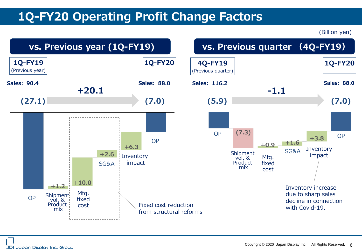### **1Q-FY20 Operating Profit Change Factors**

(Billion yen)

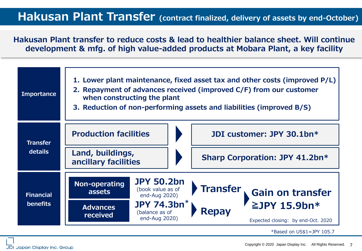#### **Hakusan Plant Transfer (contract finalized, delivery of assets by end-October)**

**Hakusan Plant transfer to reduce costs & lead to healthier balance sheet. Will continue development & mfg. of high value-added products at Mobara Plant, a key facility**

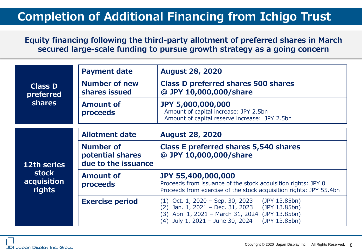### **Completion of Additional Financing from Ichigo Trust**

#### **Equity financing following the third-party allotment of preferred shares in March secured large-scale funding to pursue growth strategy as a going concern**

|                                       | <b>Payment date</b>                                  | <b>August 28, 2020</b>                                                                                                                                                                                                        |  |  |
|---------------------------------------|------------------------------------------------------|-------------------------------------------------------------------------------------------------------------------------------------------------------------------------------------------------------------------------------|--|--|
| <b>Class D</b><br>preferred           | <b>Number of new</b><br>shares issued                | Class D preferred shares 500 shares<br>@ JPY 10,000,000/share                                                                                                                                                                 |  |  |
| <b>shares</b>                         | <b>Amount of</b><br>proceeds                         | <b>JPY 5,000,000,000</b><br>Amount of capital increase: JPY 2.5bn<br>Amount of capital reserve increase: JPY 2.5bn                                                                                                            |  |  |
|                                       | <b>Allotment date</b>                                | <b>August 28, 2020</b>                                                                                                                                                                                                        |  |  |
| 12th series                           | Number of<br>potential shares<br>due to the issuance | <b>Class E preferred shares 5,540 shares</b><br>@ JPY 10,000,000/share                                                                                                                                                        |  |  |
| <b>stock</b><br>acquisition<br>rights | <b>Amount of</b><br>proceeds                         | <b>JPY 55,400,000,000</b><br>Proceeds from issuance of the stock acquisition rights: JPY 0<br>Proceeds from exercise of the stock acquisition rights: JPY 55.4bn                                                              |  |  |
|                                       | <b>Exercise period</b>                               | (JPY 13.85bn)<br>$(1)$ Oct. 1, 2020 – Sep. 30, 2023<br>Jan. 1, 2021 - Dec. 31, 2023<br>(JPY 13.85bn)<br>(2)<br>April 1, 2021 - March 31, 2024<br>(JPY 13.85bn)<br>(3)<br>July 1, 2021 - June 30, 2024<br>(JPY 13.85bn)<br>(4) |  |  |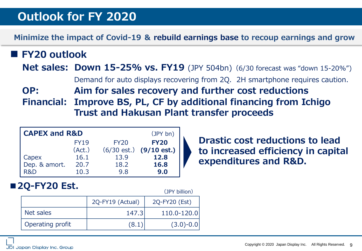### **Outlook for FY 2020**

#### **Minimize the impact of Covid-19 & rebuild earnings base to recoup earnings and grow**

#### **■ FY20 outlook**

**Net sales: Down 15-25% vs. FY19** (JPY 504bn) (6/30 forecast was "down 15-20%")

Demand for auto displays recovering from 2Q. 2H smartphone requires caution.

**OP: Aim for sales recovery and further cost reductions**

**Financial: Improve BS, PL, CF by additional financing from Ichigo Trust and Hakusan Plant transfer proceeds**

(JPY billion)

| <b>CAPEX and R&amp;D</b> |             |             | (JPY bn)                          |
|--------------------------|-------------|-------------|-----------------------------------|
|                          | <b>FY19</b> | <b>FY20</b> | <b>FY20</b>                       |
|                          | (Act.)      |             | $(6/30 \text{ est.})$ (9/10 est.) |
| Capex                    | 16.1        | 13.9        | 12.8                              |
| Dep. & amort.            | 20.7        | 18.2        | 16.8                              |
| R&D                      | 10.3        | 9.8         | 9.0                               |

**Drastic cost reductions to lead to increased efficiency in capital expenditures and R&D.**

#### **■2Q-FY20 Est.**

|                  |                  | . <b>.</b>    |
|------------------|------------------|---------------|
|                  | 2Q-FY19 (Actual) | 2Q-FY20 (Est) |
| Net sales        | 147.3            | 110.0-120.0   |
| Operating profit | (8.1)            | $(3.0)-0.0$   |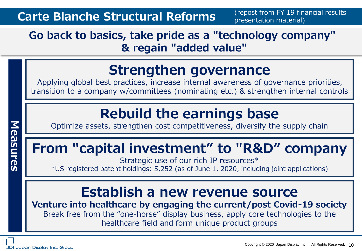### **Go back to basics, take pride as a "technology company" & regain "added value"**

## **Strengthen governance**

Applying global best practices, increase internal awareness of governance priorities, transition to a company w/committees (nominating etc.) & strengthen internal controls

## **Rebuild the earnings base**

Optimize assets, strengthen cost competitiveness, diversify the supply chain

## **From "capital investment" to "R&D" company**

Strategic use of our rich IP resources\* \*US registered patent holdings: 5,252 (as of June 1, 2020, including joint applications)

## **Establish a new revenue source**

**Venture into healthcare by engaging the current/post Covid-19 society** Break free from the "one-horse" display business, apply core technologies to the healthcare field and form unique product groups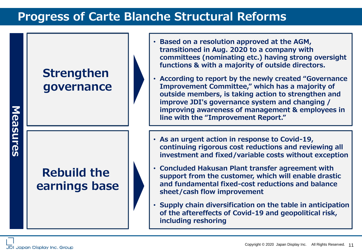### **Progress of Carte Blanche Structural Reforms**

### **Strengthen governance**

### **Rebuild the earnings base**

- **Based on a resolution approved at the AGM, transitioned in Aug. 2020 to a company with committees (nominating etc.) having strong oversight functions & with a majority of outside directors.**
- **According to report by the newly created "Governance Improvement Committee," which has a majority of outside members, is taking action to strengthen and improve JDI's governance system and changing / improving awareness of management & employees in line with the "Improvement Report."**
- **As an urgent action in response to Covid-19, continuing rigorous cost reductions and reviewing all investment and fixed/variable costs without exception**
- **Concluded Hakusan Plant transfer agreement with support from the customer, which will enable drastic and fundamental fixed-cost reductions and balance sheet/cash flow improvement**
- **Supply chain diversification on the table in anticipation of the aftereffects of Covid-19 and geopolitical risk, including reshoring**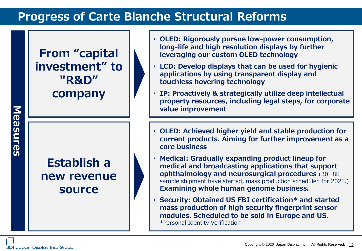### **Progress of Carte Blanche Structural Reforms**

### **From "capital investment" to "R&D" company**

### **Establish a new revenue source**

- **OLED: Rigorously pursue low-power consumption, long-life and high resolution displays by further leveraging our custom OLED technology**
- **LCD: Develop displays that can be used for hygienic applications by using transparent display and touchless hovering technology**
- **IP: Proactively & strategically utilize deep intellectual property resources, including legal steps, for corporate value improvement**
- **OLED: Achieved higher yield and stable production for current products. Aiming for further improvement as a core business**
- **Medical: Gradually expanding product lineup for medical and broadcasting applications that support ophthalmology and neurosurgical procedures** (30" 8K sample shipment have started, mass production scheduled for 2021.) **Examining whole human genome business.**
- **Security: Obtained US FBI certification\* and started mass production of high security fingerprint sensor modules. Scheduled to be sold in Europe and US.**  \*Personal Identity Verification

**Measures**

Measures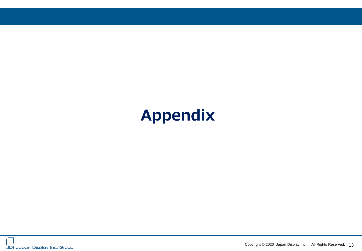# **Appendix**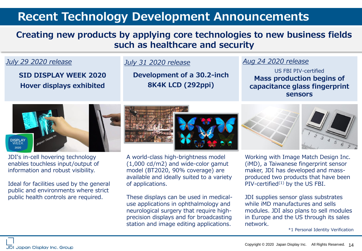#### **Recent Technology Development Announcements**

#### **Creating new products by applying core technologies to new business fields such as healthcare and security**

#### *July 29 2020 release*

**SID DISPLAY WEEK 2020 Hover displays exhibited**

#### *July 31 2020 release*

**Development of a 30.2-inch 8K4K LCD (292ppi)**

#### *Aug 24 2020 release*

US FBI PIV-certified **Mass production begins of capacitance glass fingerprint sensors**



JDI's in-cell hovering technology enables touchless input/output of information and robust visibility.

Ideal for facilities used by the general public and environments where strict public health controls are required.

A world-class high-brightness model (1,000 cd/m2) and wide-color gamut model (BT2020, 90% coverage) are available and ideally suited to a variety of applications.

These displays can be used in medicaluse applications in ophthalmology and neurological surgery that require highprecision displays and for broadcasting station and image editing applications.



Working with Image Match Design Inc. (iMD), a Taiwanese fingerprint sensor maker, JDI has developed and massproduced two products that have been  $PIV$ -certified<sup> $(1)$ </sup> by the US FBI.

JDI supplies sensor glass substrates while iMD manufactures and sells modules. JDI also plans to sell modules in Europe and the US through its sales network.

\*1 Personal Identity Verification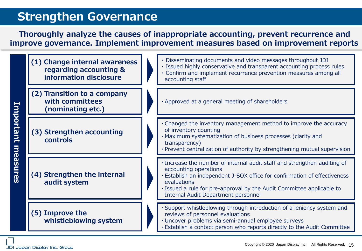### **Strengthen Governance**

**Thoroughly analyze the causes of inappropriate accounting, prevent recurrence and improve governance. Implement improvement measures based on improvement reports**



JDI Japan Display Inc. Group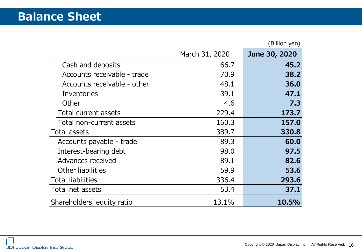|                             |                | (Billion yen) |
|-----------------------------|----------------|---------------|
|                             | March 31, 2020 | June 30, 2020 |
| Cash and deposits           | 66.7           | 45.2          |
| Accounts receivable - trade | 70.9           | 38.2          |
| Accounts receivable - other | 48.1           | 36.0          |
| Inventories                 | 39.1           | 47.1          |
| Other                       | 4.6            | 7.3           |
| Total current assets        | 229.4          | 173.7         |
| Total non-current assets    | 160.3          | 157.0         |
| Total assets                | 389.7          | 330.8         |
| Accounts payable - trade    | 89.3           | 60.0          |
| Interest-bearing debt       | 98.0           | 97.5          |
| Advances received           | 89.1           | 82.6          |
| Other liabilities           | 59.9           | 53.6          |
| <b>Total liabilities</b>    | 336.4          | 293.6         |
| Total net assets            | 53.4           | 37.1          |
| Shareholders' equity ratio  | 13.1%          | 10.5%         |